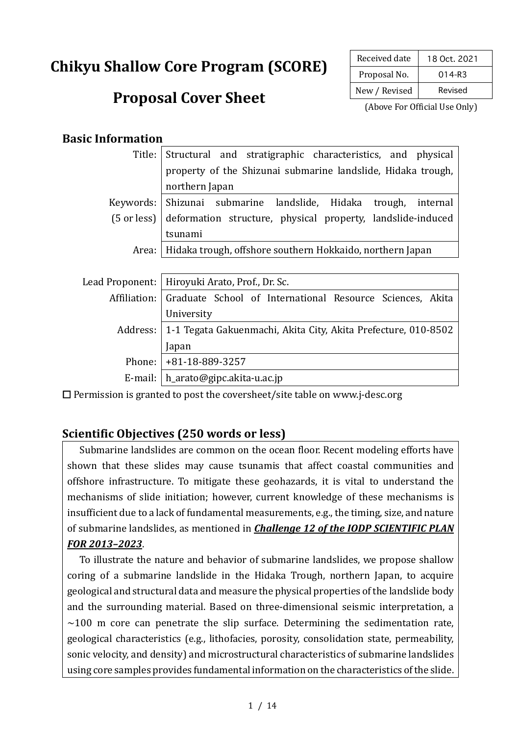# **Chikyu Shallow Core Program (SCORE)**

## **Proposal Cover Sheet**

| Received date | 18 Oct. 2021 |  |
|---------------|--------------|--|
| Proposal No.  | $014 - R3$   |  |
| New / Revised | Revised      |  |

(Above For Official Use Only)

#### **Basic Information**

| Title:                        | Structural and stratigraphic characteristics, and physical             |  |  |  |  |
|-------------------------------|------------------------------------------------------------------------|--|--|--|--|
|                               | property of the Shizunai submarine landslide, Hidaka trough,           |  |  |  |  |
|                               | northern Japan                                                         |  |  |  |  |
| Keywords:                     | Shizunai submarine landslide, Hidaka<br>trough,<br>internal            |  |  |  |  |
| $(5 \text{ or } \text{less})$ | deformation structure, physical property, landslide-induced            |  |  |  |  |
|                               | tsunami                                                                |  |  |  |  |
| Area:                         | Hidaka trough, offshore southern Hokkaido, northern Japan              |  |  |  |  |
|                               |                                                                        |  |  |  |  |
| Lead Proponent:               | Hiroyuki Arato, Prof., Dr. Sc.                                         |  |  |  |  |
|                               | Affiliation: Graduate School of International Resource Sciences, Akita |  |  |  |  |
|                               | University                                                             |  |  |  |  |
| Address:                      | 1-1 Tegata Gakuenmachi, Akita City, Akita Prefecture, 010-8502         |  |  |  |  |
|                               | Japan                                                                  |  |  |  |  |
|                               | Phone:   +81-18-889-3257                                               |  |  |  |  |
|                               | E-mail: $\vert h$ arato@gipc.akita-u.ac.jp                             |  |  |  |  |

 $\Box$  Permission is granted to post the coversheet/site table on www.j-desc.org

#### **Scientific Objectives (250 words or less)**

Submarine landslides are common on the ocean floor. Recent modeling efforts have shown that these slides may cause tsunamis that affect coastal communities and offshore infrastructure. To mitigate these geohazards, it is vital to understand the mechanisms of slide initiation; however, current knowledge of these mechanisms is insufficient due to a lack of fundamental measurements, e.g., the timing, size, and nature of submarine landslides, as mentioned in **Challenge 12 of the IODP SCIENTIFIC PLAN** *FOR 2013–2023*.

To illustrate the nature and behavior of submarine landslides, we propose shallow coring of a submarine landslide in the Hidaka Trough, northern Japan, to acquire geological and structural data and measure the physical properties of the landslide body and the surrounding material. Based on three-dimensional seismic interpretation, a  $\sim$ 100 m core can penetrate the slip surface. Determining the sedimentation rate, geological characteristics (e.g., lithofacies, porosity, consolidation state, permeability, sonic velocity, and density) and microstructural characteristics of submarine landslides using core samples provides fundamental information on the characteristics of the slide.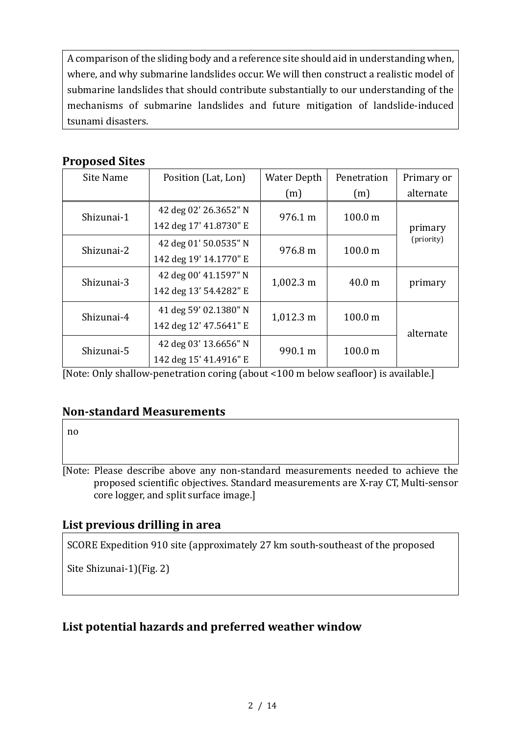A comparison of the sliding body and a reference site should aid in understanding when, where, and why submarine landslides occur. We will then construct a realistic model of submarine landslides that should contribute substantially to our understanding of the mechanisms of submarine landslides and future mitigation of landslide-induced tsunami disasters.

#### **Proposed Sites**

| Site Name  | Position (Lat, Lon)    | <b>Water Depth</b>  | Penetration        | Primary or            |
|------------|------------------------|---------------------|--------------------|-----------------------|
|            |                        | (m)                 | (m)                | alternate             |
| Shizunai-1 | 42 deg 02' 26.3652" N  | 976.1 m             | 100.0 <sub>m</sub> | primary<br>(priority) |
|            | 142 deg 17' 41.8730" E |                     |                    |                       |
| Shizunai-2 | 42 deg 01' 50.0535" N  | 976.8 m             | 100.0 m            |                       |
|            | 142 deg 19' 14.1770" E |                     |                    |                       |
| Shizunai-3 | 42 deg 00' 41.1597" N  | 1,002.3 m           | 40.0 <sub>m</sub>  | primary               |
|            | 142 deg 13' 54.4282" E |                     |                    |                       |
| Shizunai-4 | 41 deg 59' 02.1380" N  | $1,012.3 \text{ m}$ | 100.0 m            | alternate             |
|            | 142 deg 12' 47.5641" E |                     |                    |                       |
| Shizunai-5 | 42 deg 03' 13.6656" N  | 990.1 m             | 100.0 m            |                       |
|            | 142 deg 15' 41.4916" E |                     |                    |                       |

[Note: Only shallow-penetration coring (about <100 m below seafloor) is available.]

#### **Non-standard Measurements**

no

[Note: Please describe above any non-standard measurements needed to achieve the proposed scientific objectives. Standard measurements are X-ray CT, Multi-sensor core logger, and split surface image.]

#### List previous drilling in area

SCORE Expedition 910 site (approximately 27 km south-southeast of the proposed

Site Shizunai-1)(Fig. 2)

### List potential hazards and preferred weather window